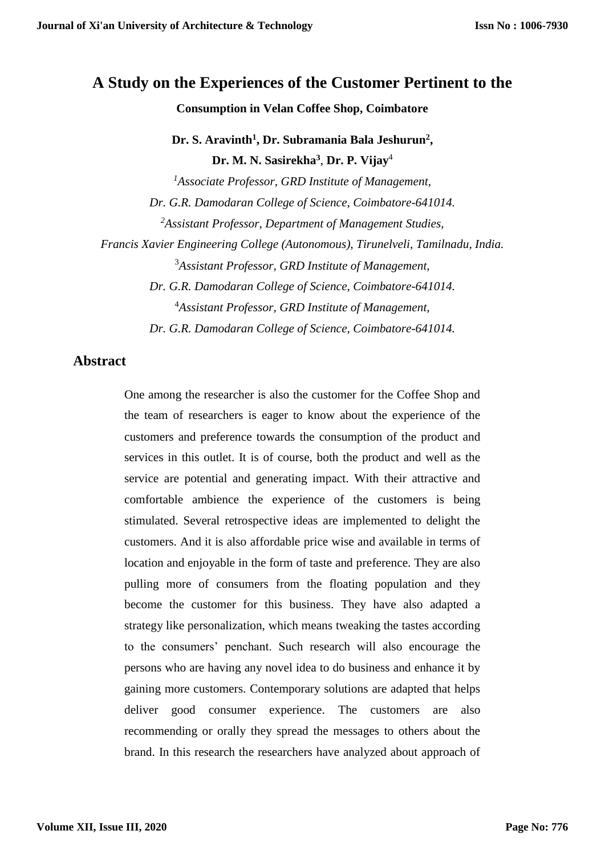# **A Study on the Experiences of the Customer Pertinent to the**

**Consumption in Velan Coffee Shop, Coimbatore**

**Dr. S. Aravinth<sup>1</sup> , Dr. Subramania Bala Jeshurun<sup>2</sup> , Dr. M. N. Sasirekha<sup>3</sup>** , **Dr. P. Vijay**<sup>4</sup>

*<sup>1</sup>Associate Professor, GRD Institute of Management, Dr. G.R. Damodaran College of Science, Coimbatore-641014. <sup>2</sup>Assistant Professor, Department of Management Studies, Francis Xavier Engineering College (Autonomous), Tirunelveli, Tamilnadu, India.* <sup>3</sup>*Assistant Professor, GRD Institute of Management, Dr. G.R. Damodaran College of Science, Coimbatore-641014.* <sup>4</sup>*Assistant Professor, GRD Institute of Management, Dr. G.R. Damodaran College of Science, Coimbatore-641014.*

## **Abstract**

One among the researcher is also the customer for the Coffee Shop and the team of researchers is eager to know about the experience of the customers and preference towards the consumption of the product and services in this outlet. It is of course, both the product and well as the service are potential and generating impact. With their attractive and comfortable ambience the experience of the customers is being stimulated. Several retrospective ideas are implemented to delight the customers. And it is also affordable price wise and available in terms of location and enjoyable in the form of taste and preference. They are also pulling more of consumers from the floating population and they become the customer for this business. They have also adapted a strategy like personalization, which means tweaking the tastes according to the consumers' penchant. Such research will also encourage the persons who are having any novel idea to do business and enhance it by gaining more customers. Contemporary solutions are adapted that helps deliver good consumer experience. The customers are also recommending or orally they spread the messages to others about the brand. In this research the researchers have analyzed about approach of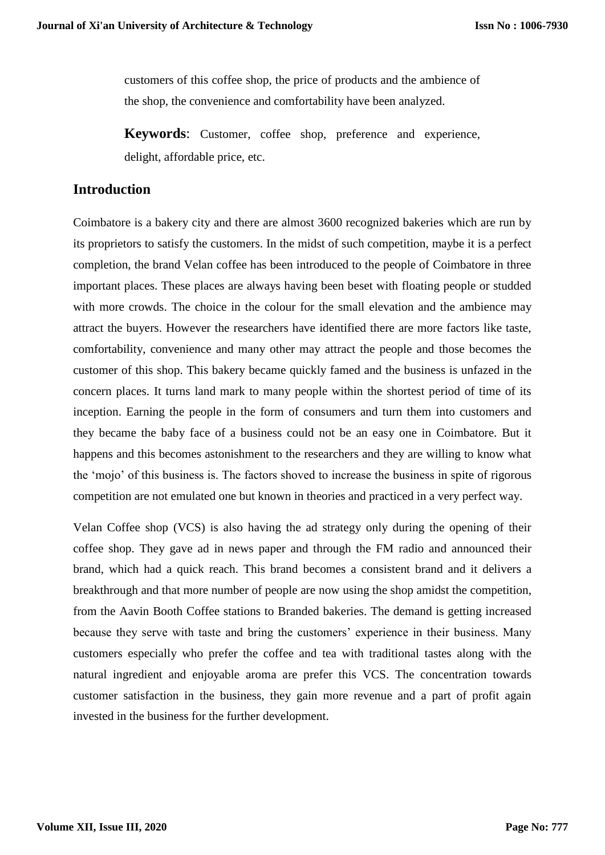customers of this coffee shop, the price of products and the ambience of the shop, the convenience and comfortability have been analyzed.

**Keywords**: Customer, coffee shop, preference and experience, delight, affordable price, etc.

# **Introduction**

Coimbatore is a bakery city and there are almost 3600 recognized bakeries which are run by its proprietors to satisfy the customers. In the midst of such competition, maybe it is a perfect completion, the brand Velan coffee has been introduced to the people of Coimbatore in three important places. These places are always having been beset with floating people or studded with more crowds. The choice in the colour for the small elevation and the ambience may attract the buyers. However the researchers have identified there are more factors like taste, comfortability, convenience and many other may attract the people and those becomes the customer of this shop. This bakery became quickly famed and the business is unfazed in the concern places. It turns land mark to many people within the shortest period of time of its inception. Earning the people in the form of consumers and turn them into customers and they became the baby face of a business could not be an easy one in Coimbatore. But it happens and this becomes astonishment to the researchers and they are willing to know what the 'mojo' of this business is. The factors shoved to increase the business in spite of rigorous competition are not emulated one but known in theories and practiced in a very perfect way.

Velan Coffee shop (VCS) is also having the ad strategy only during the opening of their coffee shop. They gave ad in news paper and through the FM radio and announced their brand, which had a quick reach. This brand becomes a consistent brand and it delivers a breakthrough and that more number of people are now using the shop amidst the competition, from the Aavin Booth Coffee stations to Branded bakeries. The demand is getting increased because they serve with taste and bring the customers' experience in their business. Many customers especially who prefer the coffee and tea with traditional tastes along with the natural ingredient and enjoyable aroma are prefer this VCS. The concentration towards customer satisfaction in the business, they gain more revenue and a part of profit again invested in the business for the further development.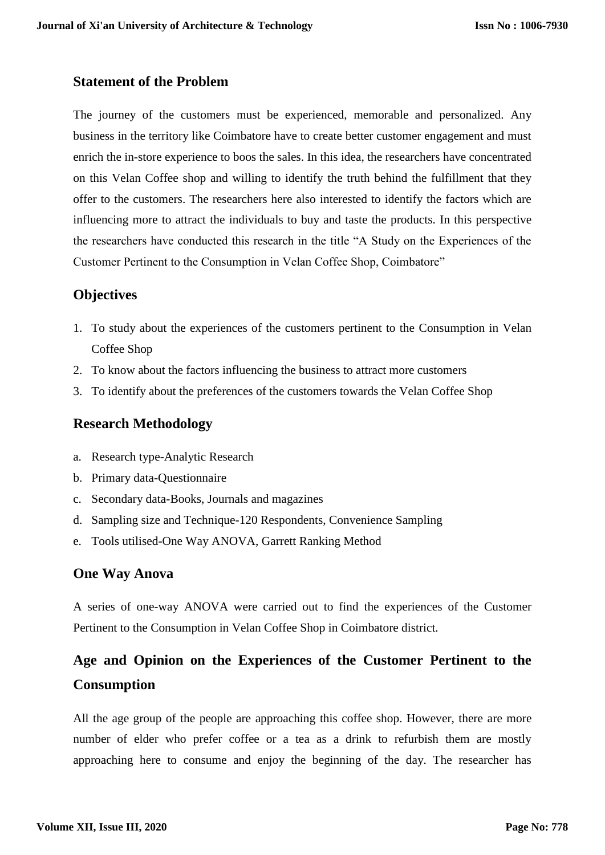## **Statement of the Problem**

The journey of the customers must be experienced, memorable and personalized. Any business in the territory like Coimbatore have to create better customer engagement and must enrich the in-store experience to boos the sales. In this idea, the researchers have concentrated on this Velan Coffee shop and willing to identify the truth behind the fulfillment that they offer to the customers. The researchers here also interested to identify the factors which are influencing more to attract the individuals to buy and taste the products. In this perspective the researchers have conducted this research in the title "A Study on the Experiences of the Customer Pertinent to the Consumption in Velan Coffee Shop, Coimbatore"

## **Objectives**

- 1. To study about the experiences of the customers pertinent to the Consumption in Velan Coffee Shop
- 2. To know about the factors influencing the business to attract more customers
- 3. To identify about the preferences of the customers towards the Velan Coffee Shop

## **Research Methodology**

- a. Research type-Analytic Research
- b. Primary data-Questionnaire
- c. Secondary data-Books, Journals and magazines
- d. Sampling size and Technique-120 Respondents, Convenience Sampling
- e. Tools utilised-One Way ANOVA, Garrett Ranking Method

### **One Way Anova**

A series of one-way ANOVA were carried out to find the experiences of the Customer Pertinent to the Consumption in Velan Coffee Shop in Coimbatore district.

# **Age and Opinion on the Experiences of the Customer Pertinent to the Consumption**

All the age group of the people are approaching this coffee shop. However, there are more number of elder who prefer coffee or a tea as a drink to refurbish them are mostly approaching here to consume and enjoy the beginning of the day. The researcher has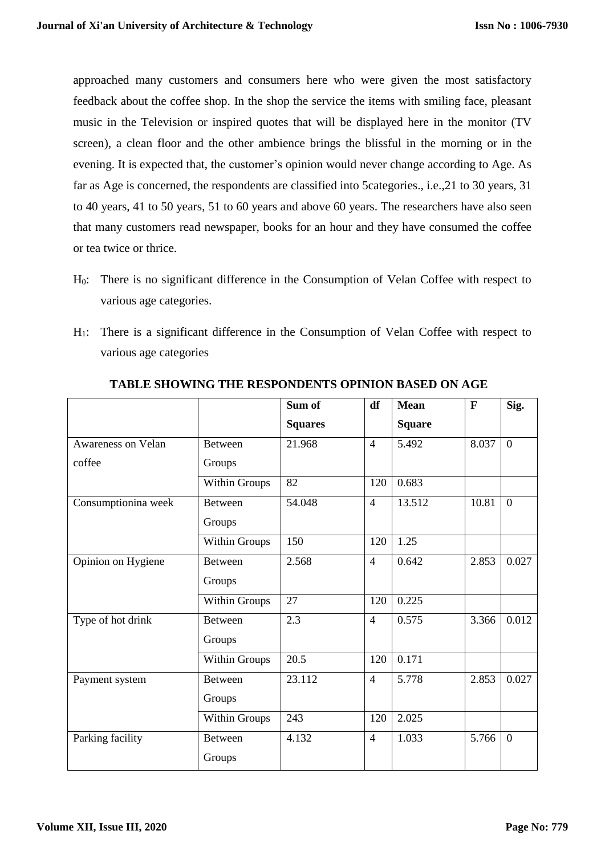approached many customers and consumers here who were given the most satisfactory feedback about the coffee shop. In the shop the service the items with smiling face, pleasant music in the Television or inspired quotes that will be displayed here in the monitor (TV screen), a clean floor and the other ambience brings the blissful in the morning or in the evening. It is expected that, the customer's opinion would never change according to Age. As far as Age is concerned, the respondents are classified into 5categories., i.e.,21 to 30 years, 31 to 40 years, 41 to 50 years, 51 to 60 years and above 60 years. The researchers have also seen that many customers read newspaper, books for an hour and they have consumed the coffee or tea twice or thrice.

- H0: There is no significant difference in the Consumption of Velan Coffee with respect to various age categories.
- H1: There is a significant difference in the Consumption of Velan Coffee with respect to various age categories

|                     |                      | Sum of         | df             | <b>Mean</b>   | $\mathbf{F}$ | Sig.           |
|---------------------|----------------------|----------------|----------------|---------------|--------------|----------------|
|                     |                      | <b>Squares</b> |                | <b>Square</b> |              |                |
| Awareness on Velan  | <b>Between</b>       | 21.968         | $\overline{4}$ | 5.492         | 8.037        | $\overline{0}$ |
| coffee              | Groups               |                |                |               |              |                |
|                     | Within Groups        | 82             | 120            | 0.683         |              |                |
| Consumptionina week | <b>Between</b>       | 54.048         | $\overline{4}$ | 13.512        | 10.81        | $\overline{0}$ |
|                     | Groups               |                |                |               |              |                |
|                     | Within Groups        | 150            | 120            | 1.25          |              |                |
| Opinion on Hygiene  | <b>Between</b>       | 2.568          | $\overline{4}$ | 0.642         | 2.853        | 0.027          |
|                     | Groups               |                |                |               |              |                |
|                     | <b>Within Groups</b> | 27             | 120            | 0.225         |              |                |
| Type of hot drink   | <b>Between</b>       | 2.3            | $\overline{4}$ | 0.575         | 3.366        | 0.012          |
|                     | Groups               |                |                |               |              |                |
|                     | Within Groups        | 20.5           | 120            | 0.171         |              |                |
| Payment system      | <b>Between</b>       | 23.112         | $\overline{4}$ | 5.778         | 2.853        | 0.027          |
|                     | Groups               |                |                |               |              |                |
|                     | <b>Within Groups</b> | 243            | 120            | 2.025         |              |                |
| Parking facility    | <b>Between</b>       | 4.132          | $\overline{4}$ | 1.033         | 5.766        | $\overline{0}$ |
|                     | Groups               |                |                |               |              |                |

#### **TABLE SHOWING THE RESPONDENTS OPINION BASED ON AGE**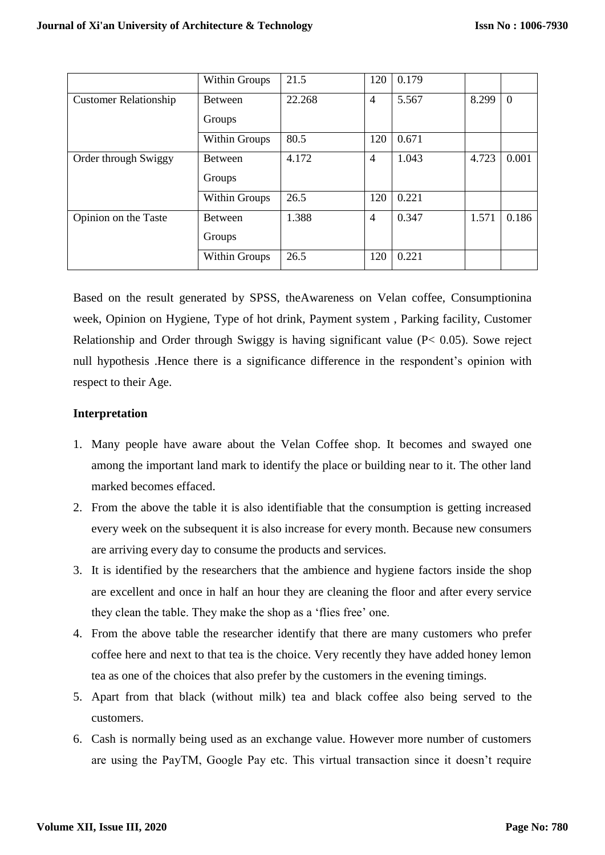|                              | Within Groups        | 21.5   | 120            | 0.179 |       |                |
|------------------------------|----------------------|--------|----------------|-------|-------|----------------|
| <b>Customer Relationship</b> | <b>Between</b>       | 22.268 | $\overline{4}$ | 5.567 | 8.299 | $\overline{0}$ |
|                              | Groups               |        |                |       |       |                |
|                              | <b>Within Groups</b> | 80.5   | 120            | 0.671 |       |                |
| Order through Swiggy         | <b>Between</b>       | 4.172  | $\overline{4}$ | 1.043 | 4.723 | 0.001          |
|                              | Groups               |        |                |       |       |                |
|                              | Within Groups        | 26.5   | 120            | 0.221 |       |                |
| Opinion on the Taste         | <b>Between</b>       | 1.388  | $\overline{4}$ | 0.347 | 1.571 | 0.186          |
|                              | Groups               |        |                |       |       |                |
|                              | <b>Within Groups</b> | 26.5   | 120            | 0.221 |       |                |

Based on the result generated by SPSS, theAwareness on Velan coffee, Consumptionina week, Opinion on Hygiene, Type of hot drink, Payment system , Parking facility, Customer Relationship and Order through Swiggy is having significant value (P< 0.05). Sowe reject null hypothesis .Hence there is a significance difference in the respondent's opinion with respect to their Age.

#### **Interpretation**

- 1. Many people have aware about the Velan Coffee shop. It becomes and swayed one among the important land mark to identify the place or building near to it. The other land marked becomes effaced.
- 2. From the above the table it is also identifiable that the consumption is getting increased every week on the subsequent it is also increase for every month. Because new consumers are arriving every day to consume the products and services.
- 3. It is identified by the researchers that the ambience and hygiene factors inside the shop are excellent and once in half an hour they are cleaning the floor and after every service they clean the table. They make the shop as a 'flies free' one.
- 4. From the above table the researcher identify that there are many customers who prefer coffee here and next to that tea is the choice. Very recently they have added honey lemon tea as one of the choices that also prefer by the customers in the evening timings.
- 5. Apart from that black (without milk) tea and black coffee also being served to the customers.
- 6. Cash is normally being used as an exchange value. However more number of customers are using the PayTM, Google Pay etc. This virtual transaction since it doesn't require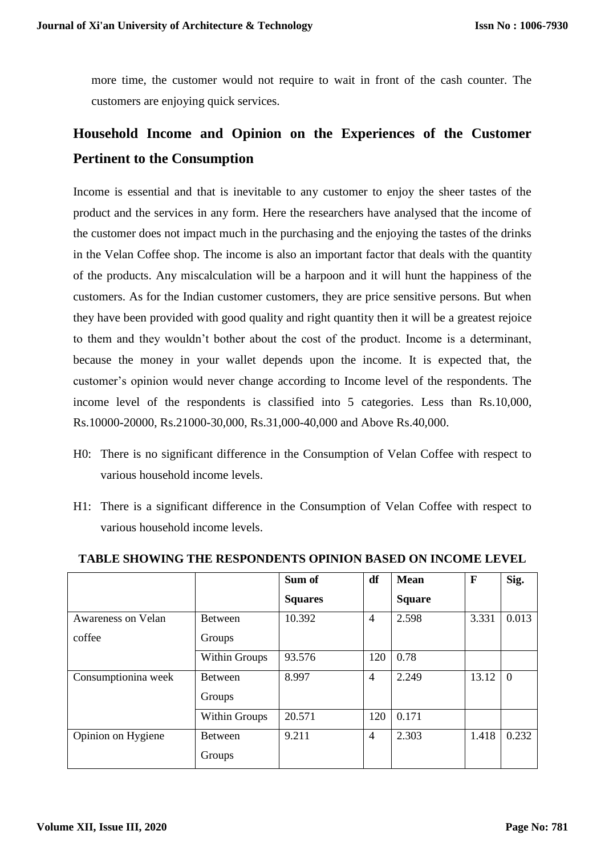more time, the customer would not require to wait in front of the cash counter. The customers are enjoying quick services.

# **Household Income and Opinion on the Experiences of the Customer Pertinent to the Consumption**

Income is essential and that is inevitable to any customer to enjoy the sheer tastes of the product and the services in any form. Here the researchers have analysed that the income of the customer does not impact much in the purchasing and the enjoying the tastes of the drinks in the Velan Coffee shop. The income is also an important factor that deals with the quantity of the products. Any miscalculation will be a harpoon and it will hunt the happiness of the customers. As for the Indian customer customers, they are price sensitive persons. But when they have been provided with good quality and right quantity then it will be a greatest rejoice to them and they wouldn't bother about the cost of the product. Income is a determinant, because the money in your wallet depends upon the income. It is expected that, the customer's opinion would never change according to Income level of the respondents. The income level of the respondents is classified into 5 categories. Less than Rs.10,000, Rs.10000-20000, Rs.21000-30,000, Rs.31,000-40,000 and Above Rs.40,000.

- H0: There is no significant difference in the Consumption of Velan Coffee with respect to various household income levels.
- H1: There is a significant difference in the Consumption of Velan Coffee with respect to various household income levels.

|                           |                          | Sum of         | df             | <b>Mean</b>   | $\mathbf F$ | Sig.           |
|---------------------------|--------------------------|----------------|----------------|---------------|-------------|----------------|
|                           |                          | <b>Squares</b> |                | <b>Square</b> |             |                |
| <b>Awareness on Velan</b> | <b>Between</b>           | 10.392         | $\overline{4}$ | 2.598         | 3.331       | 0.013          |
| coffee                    | Groups                   |                |                |               |             |                |
|                           | <b>Within Groups</b>     | 93.576         | 120            | 0.78          |             |                |
| Consumptionina week       | <b>Between</b><br>Groups | 8.997          | 4              | 2.249         | 13.12       | $\overline{0}$ |
|                           | <b>Within Groups</b>     | 20.571         | 120            | 0.171         |             |                |
| Opinion on Hygiene        | <b>Between</b><br>Groups | 9.211          | $\overline{4}$ | 2.303         | 1.418       | 0.232          |

#### **TABLE SHOWING THE RESPONDENTS OPINION BASED ON INCOME LEVEL**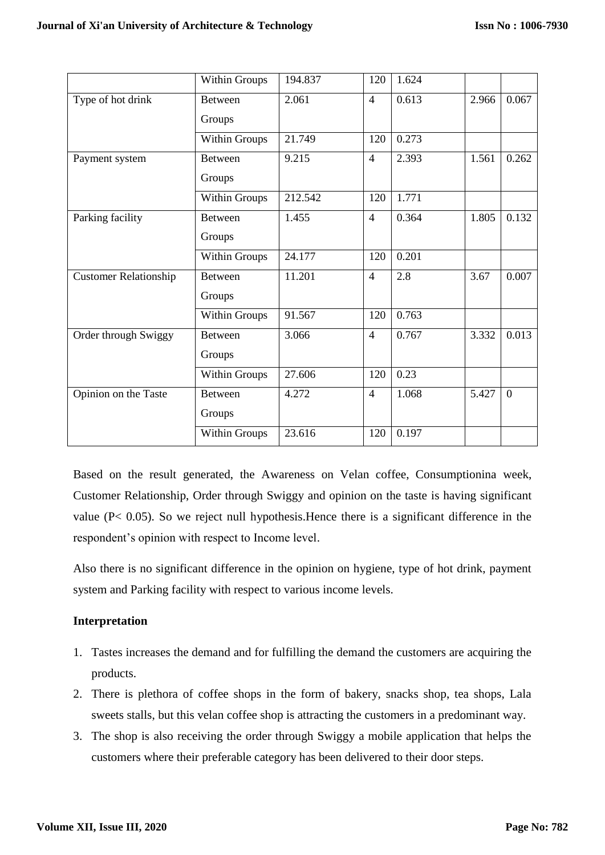|                              | <b>Within Groups</b> | 194.837 | 120            | 1.624 |       |                |
|------------------------------|----------------------|---------|----------------|-------|-------|----------------|
| Type of hot drink            | Between              | 2.061   | $\overline{4}$ | 0.613 | 2.966 | 0.067          |
|                              | Groups               |         |                |       |       |                |
|                              | <b>Within Groups</b> | 21.749  | 120            | 0.273 |       |                |
| Payment system               | <b>Between</b>       | 9.215   | $\overline{4}$ | 2.393 | 1.561 | 0.262          |
|                              | Groups               |         |                |       |       |                |
|                              | <b>Within Groups</b> | 212.542 | 120            | 1.771 |       |                |
| Parking facility             | <b>Between</b>       | 1.455   | $\overline{4}$ | 0.364 | 1.805 | 0.132          |
|                              | Groups               |         |                |       |       |                |
|                              | <b>Within Groups</b> | 24.177  | 120            | 0.201 |       |                |
| <b>Customer Relationship</b> | <b>Between</b>       | 11.201  | $\overline{4}$ | 2.8   | 3.67  | 0.007          |
|                              | Groups               |         |                |       |       |                |
|                              | <b>Within Groups</b> | 91.567  | 120            | 0.763 |       |                |
| Order through Swiggy         | <b>Between</b>       | 3.066   | $\overline{4}$ | 0.767 | 3.332 | 0.013          |
|                              | Groups               |         |                |       |       |                |
|                              | <b>Within Groups</b> | 27.606  | 120            | 0.23  |       |                |
| Opinion on the Taste         | <b>Between</b>       | 4.272   | $\overline{4}$ | 1.068 | 5.427 | $\overline{0}$ |
|                              | Groups               |         |                |       |       |                |
|                              | Within Groups        | 23.616  | 120            | 0.197 |       |                |

Based on the result generated, the Awareness on Velan coffee, Consumptionina week, Customer Relationship, Order through Swiggy and opinion on the taste is having significant value (P< 0.05). So we reject null hypothesis.Hence there is a significant difference in the respondent's opinion with respect to Income level.

Also there is no significant difference in the opinion on hygiene, type of hot drink, payment system and Parking facility with respect to various income levels.

### **Interpretation**

- 1. Tastes increases the demand and for fulfilling the demand the customers are acquiring the products.
- 2. There is plethora of coffee shops in the form of bakery, snacks shop, tea shops, Lala sweets stalls, but this velan coffee shop is attracting the customers in a predominant way.
- 3. The shop is also receiving the order through Swiggy a mobile application that helps the customers where their preferable category has been delivered to their door steps.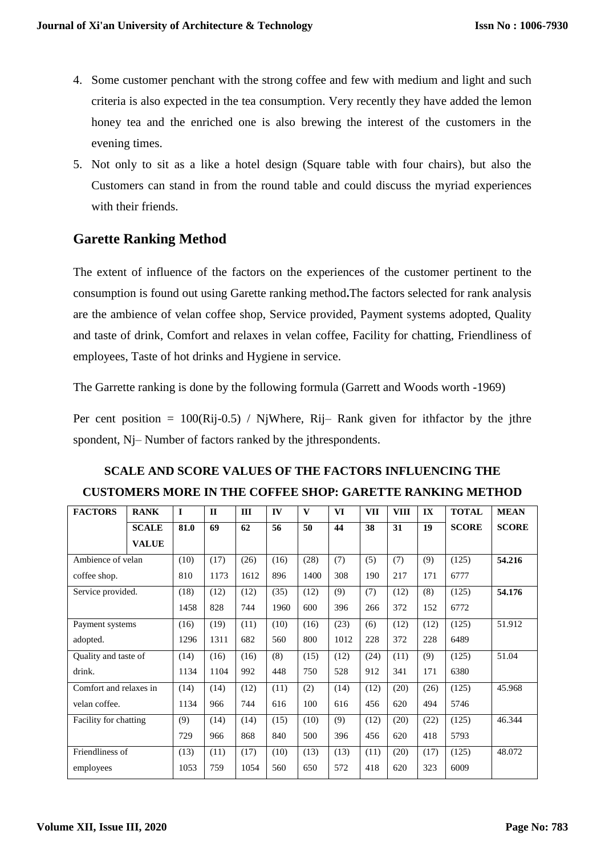- 4. Some customer penchant with the strong coffee and few with medium and light and such criteria is also expected in the tea consumption. Very recently they have added the lemon honey tea and the enriched one is also brewing the interest of the customers in the evening times.
- 5. Not only to sit as a like a hotel design (Square table with four chairs), but also the Customers can stand in from the round table and could discuss the myriad experiences with their friends.

# **Garette Ranking Method**

The extent of influence of the factors on the experiences of the customer pertinent to the consumption is found out using Garette ranking method**.**The factors selected for rank analysis are the ambience of velan coffee shop, Service provided, Payment systems adopted, Quality and taste of drink, Comfort and relaxes in velan coffee, Facility for chatting, Friendliness of employees, Taste of hot drinks and Hygiene in service.

The Garrette ranking is done by the following formula (Garrett and Woods worth -1969)

Per cent position =  $100(Ri-10.5)$  / NjWhere, Ri-Rank given for ithfactor by the jthre spondent, Nj– Number of factors ranked by the jthrespondents.

| <b>FACTORS</b>         | <b>RANK</b>  | $\mathbf{I}$ | $\mathbf{H}$ | III  | IV   | V    | <b>VI</b> | <b>VII</b> | <b>VIII</b> | $\mathbf{I}$ | <b>TOTAL</b> | <b>MEAN</b>  |
|------------------------|--------------|--------------|--------------|------|------|------|-----------|------------|-------------|--------------|--------------|--------------|
|                        | <b>SCALE</b> | 81.0         | 69           | 62   | 56   | 50   | 44        | 38         | 31          | 19           | <b>SCORE</b> | <b>SCORE</b> |
|                        | <b>VALUE</b> |              |              |      |      |      |           |            |             |              |              |              |
| Ambience of velan      |              | (10)         | (17)         | (26) | (16) | (28) | (7)       | (5)        | (7)         | (9)          | (125)        | 54.216       |
| coffee shop.           |              | 810          | 1173         | 1612 | 896  | 1400 | 308       | 190        | 217         | 171          | 6777         |              |
| Service provided.      |              | (18)         | (12)         | (12) | (35) | (12) | (9)       | (7)        | (12)        | (8)          | (125)        | 54.176       |
|                        |              | 1458         | 828          | 744  | 1960 | 600  | 396       | 266        | 372         | 152          | 6772         |              |
| Payment systems        |              | (16)         | (19)         | (11) | (10) | (16) | (23)      | (6)        | (12)        | (12)         | (125)        | 51.912       |
| adopted.               |              | 1296         | 1311         | 682  | 560  | 800  | 1012      | 228        | 372         | 228          | 6489         |              |
| Quality and taste of   |              | (14)         | (16)         | (16) | (8)  | (15) | (12)      | (24)       | (11)        | (9)          | (125)        | 51.04        |
| drink.                 |              | 1134         | 1104         | 992  | 448  | 750  | 528       | 912        | 341         | 171          | 6380         |              |
| Comfort and relaxes in |              | (14)         | (14)         | (12) | (11) | (2)  | (14)      | (12)       | (20)        | (26)         | (125)        | 45.968       |
| velan coffee.          |              | 1134         | 966          | 744  | 616  | 100  | 616       | 456        | 620         | 494          | 5746         |              |
| Facility for chatting  |              | (9)          | (14)         | (14) | (15) | (10) | (9)       | (12)       | (20)        | (22)         | (125)        | 46.344       |
|                        |              | 729          | 966          | 868  | 840  | 500  | 396       | 456        | 620         | 418          | 5793         |              |
| Friendliness of        |              | (13)         | (11)         | (17) | (10) | (13) | (13)      | (11)       | (20)        | (17)         | (125)        | 48.072       |
| employees              |              | 1053         | 759          | 1054 | 560  | 650  | 572       | 418        | 620         | 323          | 6009         |              |

# **SCALE AND SCORE VALUES OF THE FACTORS INFLUENCING THE CUSTOMERS MORE IN THE COFFEE SHOP: GARETTE RANKING METHOD**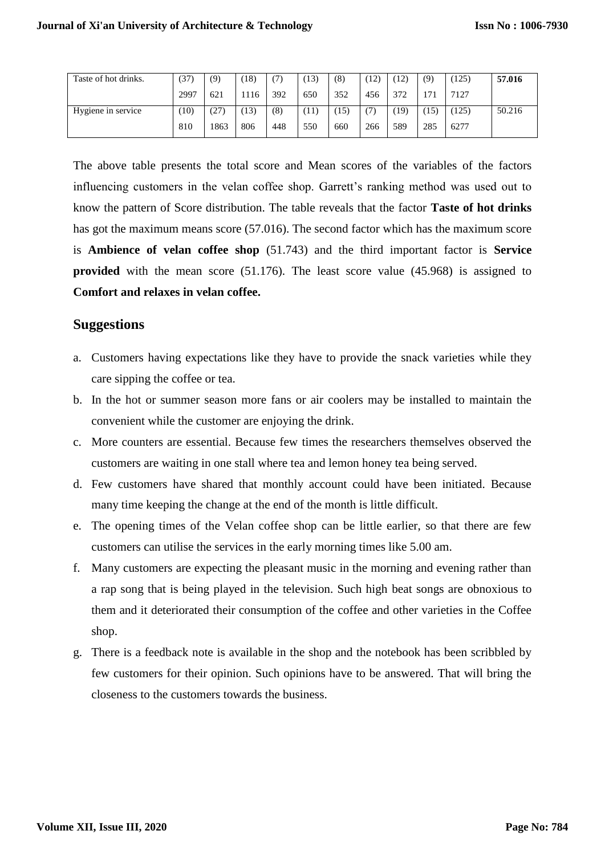| Taste of hot drinks. | (37) | (9)  | 18)  |     | (13) | (8) | (12) | 12)  | (9) | (125) | 57.016 |
|----------------------|------|------|------|-----|------|-----|------|------|-----|-------|--------|
|                      | 2997 | 621  | 1116 | 392 | 650  | 352 | 456  | 372  | 171 | 7127  |        |
| Hygiene in service   | (10) | (27) | 13)  | (8) | 11   | 15) | (7)  | (19) | 15) | (125) | 50.216 |
|                      | 810  | 1863 | 806  | 448 | 550  | 660 | 266  | 589  | 285 | 6277  |        |

The above table presents the total score and Mean scores of the variables of the factors influencing customers in the velan coffee shop. Garrett's ranking method was used out to know the pattern of Score distribution. The table reveals that the factor **Taste of hot drinks** has got the maximum means score (57.016). The second factor which has the maximum score is **Ambience of velan coffee shop** (51.743) and the third important factor is **Service provided** with the mean score (51.176). The least score value (45.968) is assigned to **Comfort and relaxes in velan coffee.**

#### **Suggestions**

- a. Customers having expectations like they have to provide the snack varieties while they care sipping the coffee or tea.
- b. In the hot or summer season more fans or air coolers may be installed to maintain the convenient while the customer are enjoying the drink.
- c. More counters are essential. Because few times the researchers themselves observed the customers are waiting in one stall where tea and lemon honey tea being served.
- d. Few customers have shared that monthly account could have been initiated. Because many time keeping the change at the end of the month is little difficult.
- e. The opening times of the Velan coffee shop can be little earlier, so that there are few customers can utilise the services in the early morning times like 5.00 am.
- f. Many customers are expecting the pleasant music in the morning and evening rather than a rap song that is being played in the television. Such high beat songs are obnoxious to them and it deteriorated their consumption of the coffee and other varieties in the Coffee shop.
- g. There is a feedback note is available in the shop and the notebook has been scribbled by few customers for their opinion. Such opinions have to be answered. That will bring the closeness to the customers towards the business.